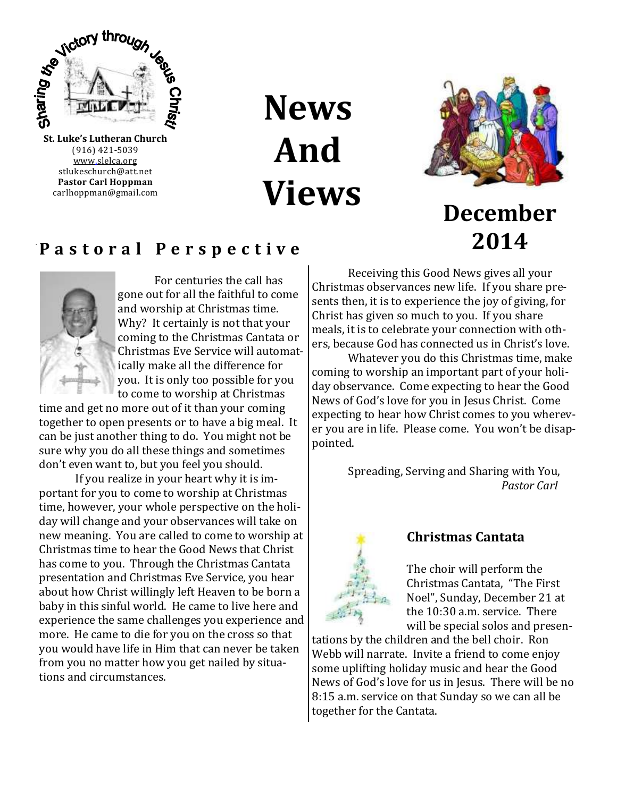

(916) 421-5039 [www.slelca.org](http://www.luther95.net/SLLC-SCA) stlukeschurch@att.net **Pastor Carl Hoppman** carlhoppman@gmail.com

**News And Views**



**December**

**2014**

## **P a s t o r a l P e r s p e c t i v e**



For centuries the call has gone out for all the faithful to come and worship at Christmas time. Why? It certainly is not that your coming to the Christmas Cantata or Christmas Eve Service will automatically make all the difference for you. It is only too possible for you to come to worship at Christmas

time and get no more out of it than your coming together to open presents or to have a big meal. It can be just another thing to do. You might not be sure why you do all these things and sometimes don't even want to, but you feel you should.

If you realize in your heart why it is important for you to come to worship at Christmas time, however, your whole perspective on the holiday will change and your observances will take on new meaning. You are called to come to worship at Christmas time to hear the Good News that Christ has come to you. Through the Christmas Cantata presentation and Christmas Eve Service, you hear about how Christ willingly left Heaven to be born a baby in this sinful world. He came to live here and experience the same challenges you experience and more. He came to die for you on the cross so that you would have life in Him that can never be taken from you no matter how you get nailed by situations and circumstances.

Receiving this Good News gives all your Christmas observances new life. If you share presents then, it is to experience the joy of giving, for Christ has given so much to you. If you share meals, it is to celebrate your connection with others, because God has connected us in Christ's love.

Whatever you do this Christmas time, make coming to worship an important part of your holiday observance. Come expecting to hear the Good News of God's love for you in Jesus Christ. Come expecting to hear how Christ comes to you wherever you are in life. Please come. You won't be disappointed.

> Spreading, Serving and Sharing with You, *Pastor Carl*



#### **Christmas Cantata**

The choir will perform the Christmas Cantata, "The First Noel", Sunday, December 21 at the 10:30 a.m. service. There will be special solos and presen-

tations by the children and the bell choir. Ron Webb will narrate. Invite a friend to come enjoy some uplifting holiday music and hear the Good News of God's love for us in Jesus. There will be no 8:15 a.m. service on that Sunday so we can all be together for the Cantata.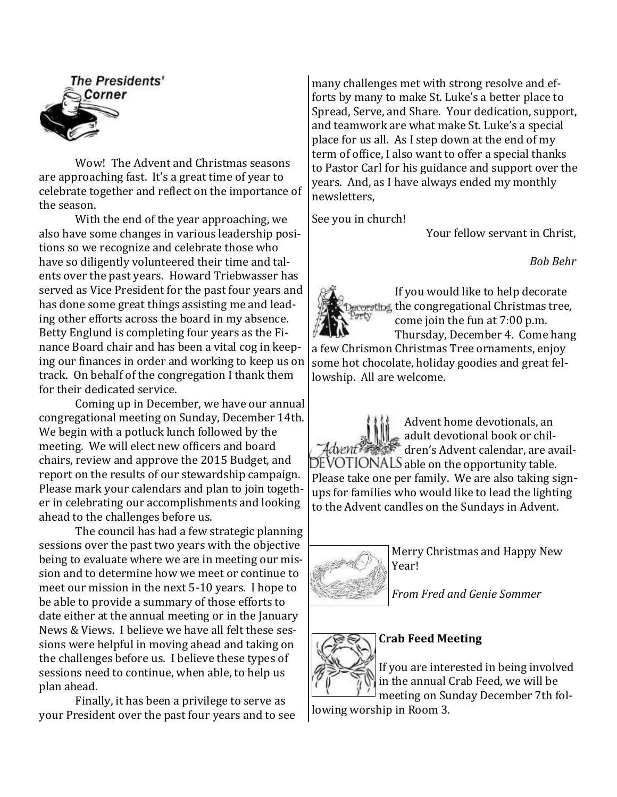

Wow! The Advent and Christmas seasons are approaching fast. It's a great time of year to celebrate together and reflect on the importance of the season.

With the end of the year approaching, we also have some changes in various leadership positions so we recognize and celebrate those who have so diligently volunteered their time and talents over the past years. Howard Triebwasser has served as Vice President for the past four years and has done some great things assisting me and leading other efforts across the board in my absence. Betty Englund is completing four years as the Finance Board chair and has been a vital cog in keeping our finances in order and working to keep us on track. On behalf of the congregation I thank them for their dedicated service.

Coming up in December, we have our annual congregational meeting on Sunday, December 14th. We begin with a potluck lunch followed by the meeting. We will elect new officers and board chairs, review and approve the 2015 Budget, and report on the results of our stewardship campaign. Please mark your calendars and plan to join together in celebrating our accomplishments and looking ahead to the challenges before us.

The council has had a few strategic planning sessions over the past two years with the objective being to evaluate where we are in meeting our mission and to determine how we meet or continue to meet our mission in the next 5-10 years. I hope to be able to provide a summary of those efforts to date either at the annual meeting or in the January News & Views. I believe we have all felt these sessions were helpful in moving ahead and taking on the challenges before us. I believe these types of sessions need to continue, when able, to help us plan ahead.

Finally, it has been a privilege to serve as your President over the past four years and to see many challenges met with strong resolve and efforts by many to make St. Luke's a better place to Spread, Serve, and Share. Your dedication, support, and teamwork are what make St. Luke's a special place for us all. As I step down at the end of my term of office, I also want to offer a special thanks to Pastor Carl for his guidance and support over the years. And, as I have always ended my monthly newsletters,

See you in church!

Your fellow servant in Christ,

*Bob Behr*



If you would like to help decorate the congregational Christmas tree, come join the fun at 7:00 p.m. Thursday, December 4. Come hang a few Chrismon Christmas Tree ornaments, enjoy some hot chocolate, holiday goodies and great fellowship. All are welcome.

Advent home devotionals, an adult devotional book or children's Advent calendar, are avail-DEVOTIONALS able on the opportunity table. Please take one per family. We are also taking signups for families who would like to lead the lighting to the Advent candles on the Sundays in Advent.



Merry Christmas and Happy New Year!

*From Fred and Genie Sommer*

# **Crab Feed Meeting**

If you are interested in being involved in the annual Crab Feed, we will be

meeting on Sunday December 7th following worship in Room 3.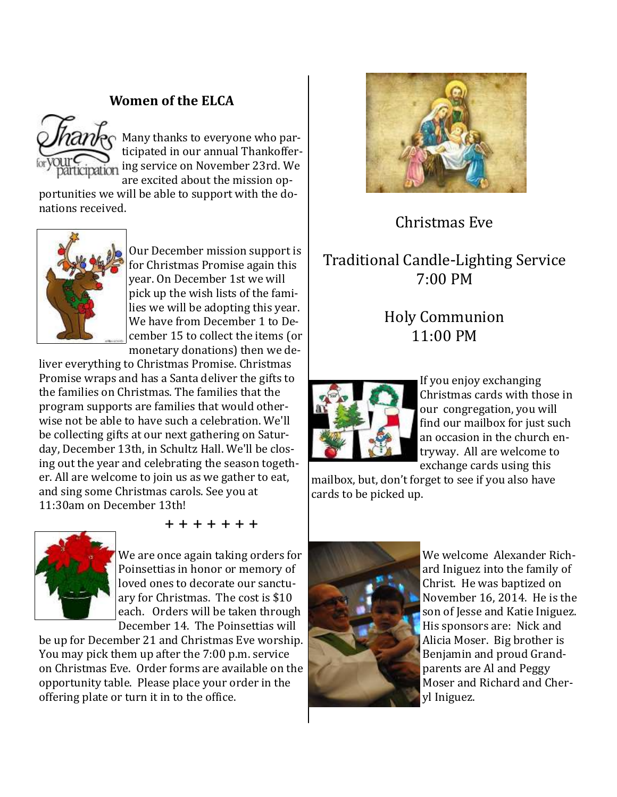## **Women of the ELCA**



Many thanks to everyone who participated in our annual Thankoffering service on November 23rd. We are excited about the mission op-

portunities we will be able to support with the donations received.



Our December mission support is for Christmas Promise again this year. On December 1st we will pick up the wish lists of the families we will be adopting this year. We have from December 1 to December 15 to collect the items (or monetary donations) then we de-

liver everything to Christmas Promise. Christmas Promise wraps and has a Santa deliver the gifts to the families on Christmas. The families that the program supports are families that would otherwise not be able to have such a celebration. We'll be collecting gifts at our next gathering on Saturday, December 13th, in Schultz Hall. We'll be closing out the year and celebrating the season together. All are welcome to join us as we gather to eat, and sing some Christmas carols. See you at 11:30am on December 13th!



+ + + + + + +

We are once again taking orders for Poinsettias in honor or memory of loved ones to decorate our sanctuary for Christmas. The cost is \$10 each. Orders will be taken through December 14. The Poinsettias will

be up for December 21 and Christmas Eve worship. You may pick them up after the 7:00 p.m. service on Christmas Eve. Order forms are available on the opportunity table. Please place your order in the offering plate or turn it in to the office.



## Christmas Eve

## Traditional Candle-Lighting Service 7:00 PM

# Holy Communion 11:00 PM



If you enjoy exchanging Christmas cards with those in our congregation, you will find our mailbox for just such an occasion in the church entryway. All are welcome to exchange cards using this

mailbox, but, don't forget to see if you also have cards to be picked up.



We welcome Alexander Richard Iniguez into the family of Christ. He was baptized on November 16, 2014. He is the son of Jesse and Katie Iniguez. His sponsors are: Nick and Alicia Moser. Big brother is Benjamin and proud Grandparents are Al and Peggy Moser and Richard and Cheryl Iniguez.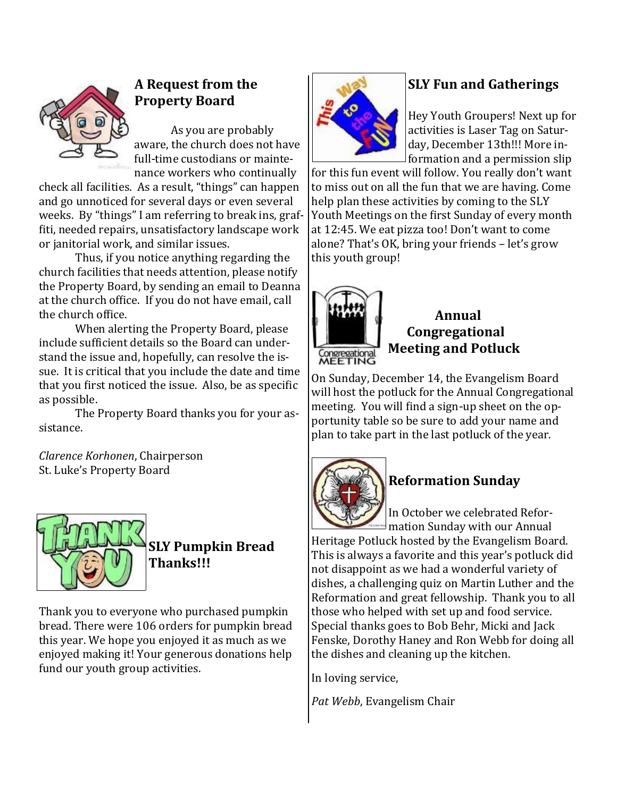

## **A Request from the Property Board**

As you are probably aware, the church does not have full-time custodians or maintenance workers who continually

check all facilities. As a result, "things" can happen and go unnoticed for several days or even several weeks. By "things" I am referring to break ins, graffiti, needed repairs, unsatisfactory landscape work or janitorial work, and similar issues.

Thus, if you notice anything regarding the church facilities that needs attention, please notify the Property Board, by sending an email to Deanna at the church office. If you do not have email, call the church office.

When alerting the Property Board, please include sufficient details so the Board can understand the issue and, hopefully, can resolve the issue. It is critical that you include the date and time that you first noticed the issue. Also, be as specific as possible.

The Property Board thanks you for your assistance.

*Clarence Korhonen*, Chairperson St. Luke's Property Board



# **SLY Pumpkin Bread Thanks!!!**

Thank you to everyone who purchased pumpkin bread. There were 106 orders for pumpkin bread this year. We hope you enjoyed it as much as we enjoyed making it! Your generous donations help fund our youth group activities.



## **SLY Fun and Gatherings**

Hey Youth Groupers! Next up for activities is Laser Tag on Saturday, December 13th!!! More information and a permission slip

for this fun event will follow. You really don't want to miss out on all the fun that we are having. Come help plan these activities by coming to the SLY Youth Meetings on the first Sunday of every month at 12:45. We eat pizza too! Don't want to come alone? That's OK, bring your friends – let's grow this youth group!



## **Annual Congregational Meeting and Potluck**

On Sunday, December 14, the Evangelism Board will host the potluck for the Annual Congregational meeting. You will find a sign-up sheet on the opportunity table so be sure to add your name and plan to take part in the last potluck of the year.



# **Reformation Sunday**

In October we celebrated Reformation Sunday with our Annual

Heritage Potluck hosted by the Evangelism Board. This is always a favorite and this year's potluck did not disappoint as we had a wonderful variety of dishes, a challenging quiz on Martin Luther and the Reformation and great fellowship. Thank you to all those who helped with set up and food service. Special thanks goes to Bob Behr, Micki and Jack Fenske, Dorothy Haney and Ron Webb for doing all the dishes and cleaning up the kitchen.

In loving service,

*Pat Webb*, Evangelism Chair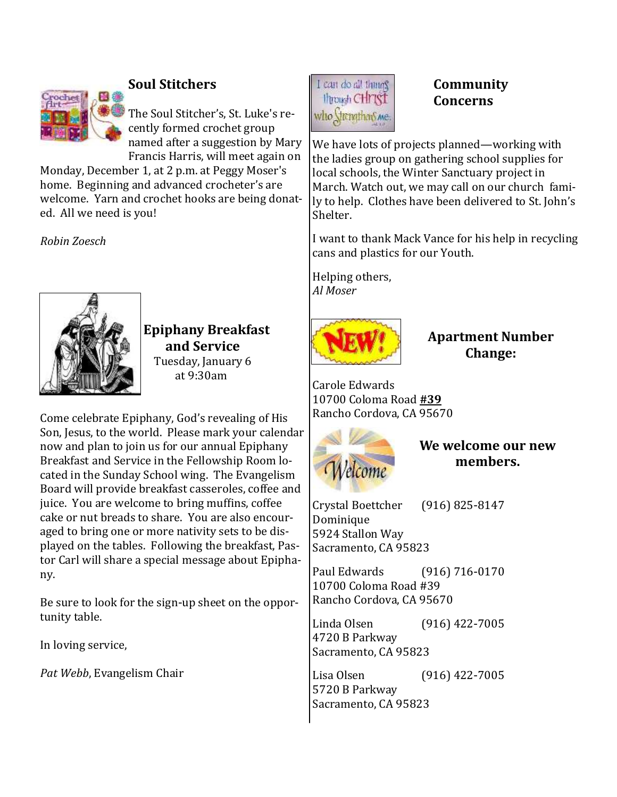

## **Soul Stitchers**

The Soul Stitcher's, St. Luke's recently formed crochet group named after a suggestion by Mary Francis Harris, will meet again on

Monday, December 1, at 2 p.m. at Peggy Moser's home. Beginning and advanced crocheter's are welcome. Yarn and crochet hooks are being donated. All we need is you!

*Robin Zoesch*



**Epiphany Breakfast and Service** Tuesday, January 6 at 9:30am

Come celebrate Epiphany, God's revealing of His Son, Jesus, to the world. Please mark your calendar now and plan to join us for our annual Epiphany Breakfast and Service in the Fellowship Room located in the Sunday School wing. The Evangelism Board will provide breakfast casseroles, coffee and juice. You are welcome to bring muffins, coffee cake or nut breads to share. You are also encouraged to bring one or more nativity sets to be displayed on the tables. Following the breakfast, Pastor Carl will share a special message about Epiphany.

Be sure to look for the sign-up sheet on the opportunity table.

In loving service,

*Pat Webb*, Evangelism Chair



## **Community Concerns**

We have lots of projects planned—working with the ladies group on gathering school supplies for local schools, the Winter Sanctuary project in March. Watch out, we may call on our church family to help. Clothes have been delivered to St. John's Shelter.

I want to thank Mack Vance for his help in recycling cans and plastics for our Youth.

Helping others, *Al Moser*



**Apartment Number Change:**

Carole Edwards 10700 Coloma Road **#39** Rancho Cordova, CA 95670



**We welcome our new members.**

Crystal Boettcher (916) 825-8147 Dominique 5924 Stallon Way Sacramento, CA 95823

Paul Edwards (916) 716-0170 10700 Coloma Road #39 Rancho Cordova, CA 95670

Linda Olsen (916) 422-7005 4720 B Parkway Sacramento, CA 95823

Lisa Olsen (916) 422-7005 5720 B Parkway Sacramento, CA 95823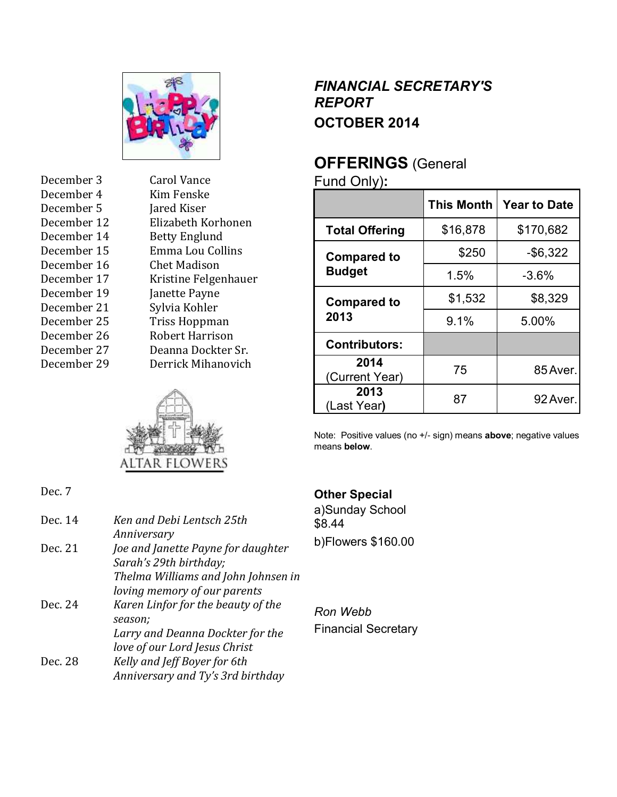

| December 3  | <b>Carol Vance</b>   |
|-------------|----------------------|
| December 4  | Kim Fenske           |
| December 5  | Jared Kiser          |
| December 12 | Elizabeth Korhonen   |
| December 14 | <b>Betty Englund</b> |
| December 15 | Emma Lou Collins     |
| December 16 | Chet Madison         |
| December 17 | Kristine Felgenhauer |
| December 19 | Janette Payne        |
| December 21 | Sylvia Kohler        |
| December 25 | Triss Hoppman        |
| December 26 | Robert Harrison      |
| December 27 | Deanna Dockter Sr.   |
| December 29 | Derrick Mihanovich   |
|             |                      |



## *FINANCIAL SECRETARY'S REPORT* **OCTOBER 2014**

# **OFFERINGS** (General

Fund Only)**:**

|                                     | <b>This Month</b> | <b>Year to Date</b> |
|-------------------------------------|-------------------|---------------------|
| <b>Total Offering</b>               | \$16,878          | \$170,682           |
| <b>Compared to</b><br><b>Budget</b> | \$250             | $-$ \$6,322         |
|                                     | 1.5%              | $-3.6%$             |
| <b>Compared to</b><br>2013          | \$1,532           | \$8,329             |
|                                     | 9.1%              | 5.00%               |
| <b>Contributors:</b>                |                   |                     |
| 2014<br>(Current Year)              | 75                | 85 Aver.            |
| 2013<br>(Last Year)                 | 87                | 92 Aver.            |

Note: Positive values (no +/- sign) means **above**; negative values means **below**.

## Dec. 7

| Dec. 14 | Ken and Debi Lentsch 25th<br>Anniversary                            |
|---------|---------------------------------------------------------------------|
| Dec. 21 | Joe and Janette Payne for daughter<br>Sarah's 29th birthday;        |
|         | Thelma Williams and John Johnsen in<br>loving memory of our parents |
| Dec. 24 | Karen Linfor for the beauty of the<br>season;                       |
|         | Larry and Deanna Dockter for the                                    |
|         | love of our Lord Jesus Christ                                       |
| Dec. 28 | Kelly and Jeff Boyer for 6th                                        |
|         | Anniversary and Ty's 3rd birthday                                   |

## **Other Special**

a)Sunday School \$8.44 b)Flowers \$160.00

*Ron Webb* Financial Secretary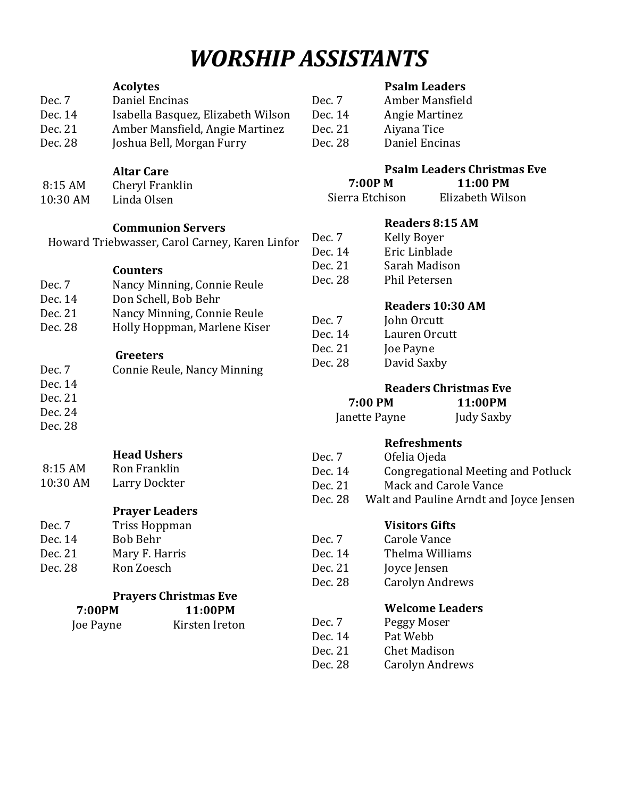# *WORSHIP ASSISTANTS*

#### **Acolytes**

| Dec. 7  | Daniel Encinas                     | Dei |
|---------|------------------------------------|-----|
| Dec. 14 | Isabella Basquez, Elizabeth Wilson | De  |
| Dec. 21 | Amber Mansfield, Angie Martinez    | De  |
| Dec. 28 | Joshua Bell, Morgan Furry          | Dei |

- **Altar Care**
- 8:15 AM Cheryl Franklin 10:30 AM Linda Olsen

## **Communion Servers**

Howard Triebwasser, Carol Carney, Karen Linfor

#### **Counters**

- Dec. 7 Nancy Minning, Connie Reule
- Dec. 14 Don Schell, Bob Behr
- Dec. 21 Nancy Minning, Connie Reule
- Dec. 28 Holly Hoppman, Marlene Kiser

#### **Greeters**

| Dec. 7  | Connie Reule, Nancy Minning |
|---------|-----------------------------|
| Dec. 14 |                             |
| Dec. 21 |                             |
| Dec. 24 |                             |
| Dec. 28 |                             |
|         |                             |

- **Head Ushers**
- 8:15 AM Ron Franklin 10:30 AM Larry Dockter
	- **Prayer Leaders**
- Dec. 7 Triss Hoppman Dec. 14 Bob Behr Dec. 21 Mary F. Harris Dec. 28 Ron Zoesch

## **Prayers Christmas Eve**

| 7:00PM    | 11:00PM        |
|-----------|----------------|
| Joe Payne | Kirsten Ireton |

## **Psalm Leaders**

| Dec. 7  | Amber Mansfield |
|---------|-----------------|
| Dec. 14 | Angie Martinez  |
| Dec. 21 | Aiyana Tice     |
| Dec. 28 | Daniel Encinas  |
|         |                 |

## **Psalm Leaders Christmas Eve**

| 7:00P M         | 11:00 PM         |
|-----------------|------------------|
| Sierra Etchison | Elizabeth Wilson |

#### **Readers 8:15 AM**

| Dec. 7  | <b>Kelly Boyer</b>   |
|---------|----------------------|
| Dec. 14 | Eric Linblade        |
| Dec. 21 | Sarah Madison        |
| Dec. 28 | <b>Phil Petersen</b> |

## **Readers 10:30 AM**

| Dec. 7  | John Orcutt   |
|---------|---------------|
| Dec. 14 | Lauren Orcutt |
| Dec. 21 | Joe Payne     |
| Dec. 28 | David Saxby   |
|         |               |

## **Readers Christmas Eve**

| 7:00 PM       | 11:00PM    |
|---------------|------------|
| Janette Payne | Judy Saxby |

## **Refreshments**

| Dec. 7  | Ofelia Ojeda                       |
|---------|------------------------------------|
| Dec. 14 | Congregational Meeting and Potluck |
| Dec. 21 | Mack and Carole Vance              |

Dec. 28 Walt and Pauline Arndt and Joyce Jensen

## **Visitors Gifts**

- Dec. 7 Carole Vance
- Dec. 14 Thelma Williams
- Dec. 21 Joyce Jensen
- Dec. 28 Carolyn Andrews

## **Welcome Leaders**

- Dec. 7 Peggy Moser Dec. 14 Pat Webb
- Dec. 21 Chet Madison
- Dec. 28 Carolyn Andrews